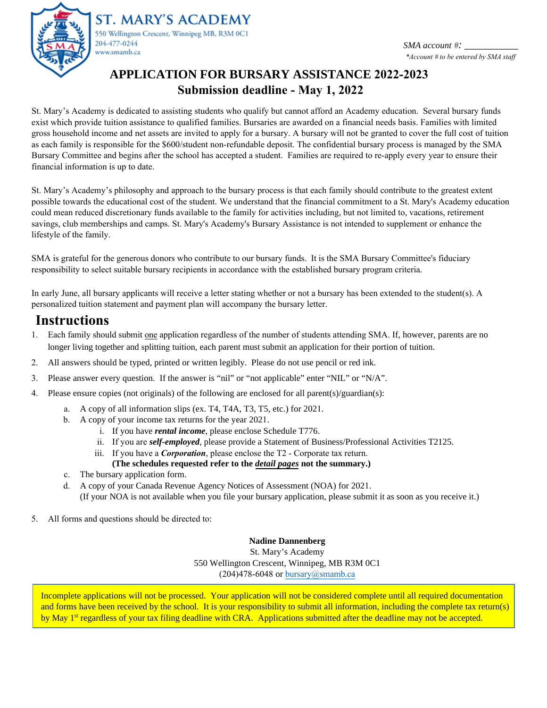

ST. MARY'S ACADEMY 550 Wellington Crescent, Winnipeg MB, R3M 0C1 204-477-0244 www.smamb.ca

*SMA account* #*: \*Account # to be entered by SMA staff*

# **APPLICATION FOR BURSARY ASSISTANCE 2022-2023 Submission deadline - May 1, 2022**

St. Mary's Academy is dedicated to assisting students who qualify but cannot afford an Academy education. Several bursary funds exist which provide tuition assistance to qualified families. Bursaries are awarded on a financial needs basis. Families with limited gross household income and net assets are invited to apply for a bursary. A bursary will not be granted to cover the full cost of tuition as each family is responsible for the \$600/student non-refundable deposit. The confidential bursary process is managed by the SMA Bursary Committee and begins after the school has accepted a student. Families are required to re-apply every year to ensure their financial information is up to date.

St. Mary's Academy's philosophy and approach to the bursary process is that each family should contribute to the greatest extent possible towards the educational cost of the student. We understand that the financial commitment to a St. Mary's Academy education could mean reduced discretionary funds available to the family for activities including, but not limited to, vacations, retirement savings, club memberships and camps. St. Mary's Academy's Bursary Assistance is not intended to supplement or enhance the lifestyle of the family.

SMA is grateful for the generous donors who contribute to our bursary funds. It is the SMA Bursary Committee's fiduciary responsibility to select suitable bursary recipients in accordance with the established bursary program criteria.

In early June, all bursary applicants will receive a letter stating whether or not a bursary has been extended to the student(s). A personalized tuition statement and payment plan will accompany the bursary letter.

# **Instructions**

- 1. Each family should submit one application regardless of the number of students attending SMA. If, however, parents are no longer living together and splitting tuition, each parent must submit an application for their portion of tuition.
- 2. All answers should be typed, printed or written legibly. Please do not use pencil or red ink.
- 3. Please answer every question. If the answer is "nil" or "not applicable" enter "NIL" or "N/A".
- 4. Please ensure copies (not originals) of the following are enclosed for all parent(s)/guardian(s):
	- a. A copy of all information slips (ex. T4, T4A, T3, T5, etc.) for 2021.
	- b. A copy of your income tax returns for the year 2021.
		- i. If you have *rental income*, please enclose Schedule T776.
		- ii. If you are *self-employed*, please provide a Statement of Business/Professional Activities T2125.
		- iii. If you have a *Corporation*, please enclose the T2 Corporate tax return.
		- **(The schedules requested refer to the** *detail pages* **not the summary.)**
	- c. The bursary application form.
	- d. A copy of your Canada Revenue Agency Notices of Assessment (NOA) for 2021. (If your NOA is not available when you file your bursary application, please submit it as soon as you receive it.)
- 5. All forms and questions should be directed to:

#### **Nadine Dannenberg**

St. Mary's Academy 550 Wellington Crescent, Winnipeg, MB R3M 0C1  $(204)478-6048$  or bursary@smamb.ca

Incomplete applications will not be processed. Your application will not be considered complete until all required documentation and forms have been received by the school. It is your responsibility to submit all information, including the complete tax return(s) by May 1<sup>st</sup> regardless of your tax filing deadline with CRA. Applications submitted after the deadline may not be accepted.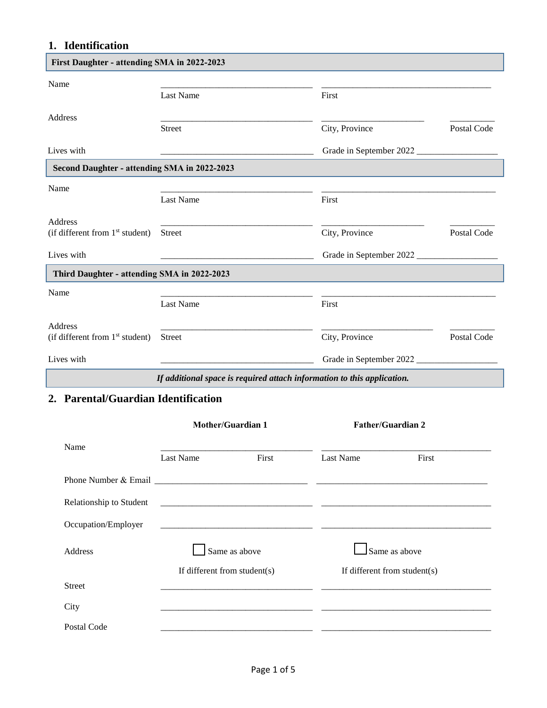## **1. Identification**

| Name                                         |                                                                   |                         |                    |
|----------------------------------------------|-------------------------------------------------------------------|-------------------------|--------------------|
|                                              | <b>Last Name</b>                                                  | First                   |                    |
| <b>Address</b>                               |                                                                   |                         |                    |
|                                              | <b>Street</b>                                                     | City, Province          | Postal Code        |
| Lives with                                   |                                                                   | Grade in September 2022 |                    |
| Second Daughter - attending SMA in 2022-2023 |                                                                   |                         |                    |
| Name                                         |                                                                   |                         |                    |
|                                              | <b>Last Name</b>                                                  | First                   |                    |
| <b>Address</b>                               |                                                                   |                         |                    |
| (if different from $1st$ student)            | <b>Street</b>                                                     | City, Province          | Postal Code        |
| Lives with                                   | <u> 1989 - Johann Barbara, martin da kasar Amerikaan kasar da</u> | Grade in September 2022 |                    |
| Third Daughter - attending SMA in 2022-2023  |                                                                   |                         |                    |
| Name                                         |                                                                   |                         |                    |
|                                              | Last Name                                                         | First                   |                    |
| <b>Address</b>                               |                                                                   |                         |                    |
| (if different from $1st$ student)            | <b>Street</b>                                                     | City, Province          | <b>Postal Code</b> |
| Lives with                                   |                                                                   | Grade in September 2022 |                    |

## **2. Parental/Guardian Identification**

|                         |                                  | Mother/Guardian 1 |                              | <b>Father/Guardian 2</b> |
|-------------------------|----------------------------------|-------------------|------------------------------|--------------------------|
| Name                    | <b>Last Name</b>                 | First             | Last Name                    | First                    |
|                         |                                  |                   |                              |                          |
| Relationship to Student |                                  |                   |                              |                          |
| Occupation/Employer     |                                  |                   |                              |                          |
| <b>Address</b>          |                                  | Same as above     |                              | Same as above            |
|                         | If different from student( $s$ ) |                   | If different from student(s) |                          |
| <b>Street</b>           |                                  |                   |                              |                          |
| City                    |                                  |                   |                              |                          |
| Postal Code             |                                  |                   |                              |                          |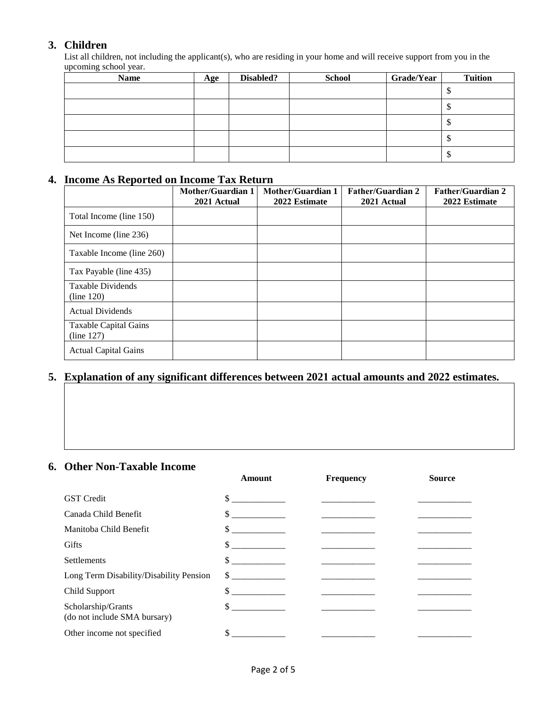### **3. Children**

List all children, not including the applicant(s), who are residing in your home and will receive support from you in the upcoming school year.

| <b>Name</b> | Age | Disabled? | <b>School</b> | <b>Grade/Year</b> | <b>Tuition</b>     |
|-------------|-----|-----------|---------------|-------------------|--------------------|
|             |     |           |               |                   | $\mathbf{\varphi}$ |
|             |     |           |               |                   | Φ                  |
|             |     |           |               |                   | ◡                  |
|             |     |           |               |                   | Φ                  |
|             |     |           |               |                   | Φ                  |

## **4. Income As Reported on Income Tax Return**

|                                     | <b>Mother/Guardian 1</b><br>2021 Actual | <b>Mother/Guardian 1</b><br>2022 Estimate | <b>Father/Guardian 2</b><br>2021 Actual | <b>Father/Guardian 2</b><br>2022 Estimate |
|-------------------------------------|-----------------------------------------|-------------------------------------------|-----------------------------------------|-------------------------------------------|
| Total Income (line 150)             |                                         |                                           |                                         |                                           |
| Net Income (line 236)               |                                         |                                           |                                         |                                           |
| Taxable Income (line 260)           |                                         |                                           |                                         |                                           |
| Tax Payable (line 435)              |                                         |                                           |                                         |                                           |
| Taxable Dividends<br>(line 120)     |                                         |                                           |                                         |                                           |
| <b>Actual Dividends</b>             |                                         |                                           |                                         |                                           |
| Taxable Capital Gains<br>(line 127) |                                         |                                           |                                         |                                           |
| <b>Actual Capital Gains</b>         |                                         |                                           |                                         |                                           |

## **5. Explanation of any significant differences between 2021 actual amounts and 2022 estimates.**

## **6. Other Non-Taxable Income**

|                                                    | Amount        | <b>Frequency</b> | <b>Source</b> |
|----------------------------------------------------|---------------|------------------|---------------|
| <b>GST</b> Credit                                  | \$            |                  |               |
| Canada Child Benefit                               | \$            |                  |               |
| Manitoba Child Benefit                             |               |                  |               |
| Gifts                                              | $\mathbb{S}$  |                  |               |
| <b>Settlements</b>                                 |               |                  |               |
| Long Term Disability/Disability Pension            | $\sim$ $\sim$ |                  |               |
| Child Support                                      | \$            |                  |               |
| Scholarship/Grants<br>(do not include SMA bursary) | $\mathbb{S}$  |                  |               |
| Other income not specified                         | \$            |                  |               |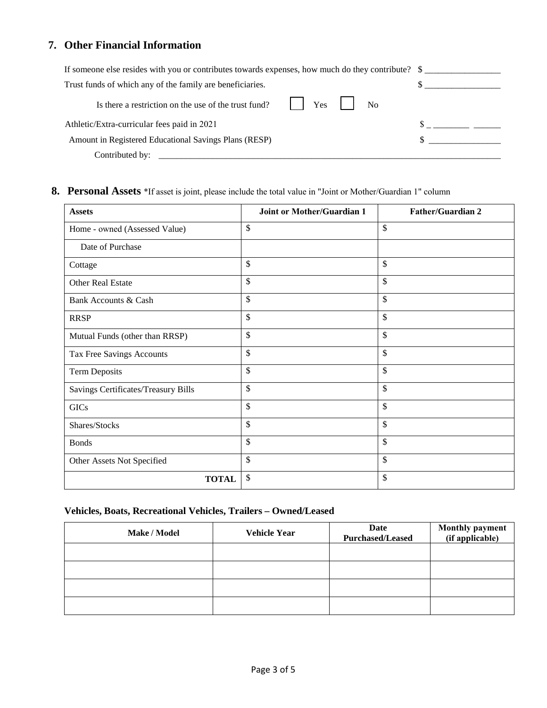## **7. Other Financial Information**

| If someone else resides with you or contributes towards expenses, how much do they contribute? \$ |  |
|---------------------------------------------------------------------------------------------------|--|
| Trust funds of which any of the family are beneficiaries.                                         |  |
| $ $ $Y$ es $ $<br>N <sub>0</sub><br>Is there a restriction on the use of the trust fund?          |  |
| Athletic/Extra-curricular fees paid in 2021                                                       |  |
| Amount in Registered Educational Savings Plans (RESP)                                             |  |
| Contributed by:                                                                                   |  |

### **8. Personal Assets** \*If asset is joint, please include the total value in "Joint or Mother/Guardian 1" column

| <b>Assets</b>                       | <b>Joint or Mother/Guardian 1</b> | <b>Father/Guardian 2</b> |
|-------------------------------------|-----------------------------------|--------------------------|
| Home - owned (Assessed Value)       | \$                                | \$                       |
| Date of Purchase                    |                                   |                          |
| Cottage                             | \$                                | \$                       |
| Other Real Estate                   | \$                                | \$                       |
| Bank Accounts & Cash                | \$                                | \$                       |
| <b>RRSP</b>                         | \$                                | \$                       |
| Mutual Funds (other than RRSP)      | \$                                | \$                       |
| Tax Free Savings Accounts           | \$                                | \$                       |
| Term Deposits                       | \$                                | \$                       |
| Savings Certificates/Treasury Bills | \$                                | \$                       |
| <b>GICs</b>                         | \$                                | \$                       |
| Shares/Stocks                       | \$                                | \$                       |
| <b>Bonds</b>                        | \$                                | \$                       |
| Other Assets Not Specified          | \$                                | \$                       |
| <b>TOTAL</b>                        | \$                                | \$                       |

#### **Vehicles, Boats, Recreational Vehicles, Trailers – Owned/Leased**

| Make / Model | <b>Vehicle Year</b> | Date<br><b>Purchased/Leased</b> | <b>Monthly payment</b><br>(if applicable) |
|--------------|---------------------|---------------------------------|-------------------------------------------|
|              |                     |                                 |                                           |
|              |                     |                                 |                                           |
|              |                     |                                 |                                           |
|              |                     |                                 |                                           |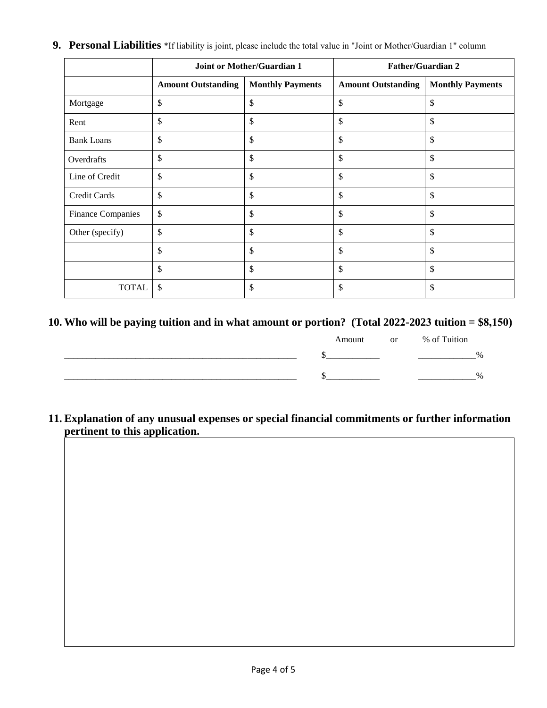|                          |                           | <b>Joint or Mother/Guardian 1</b> |                           | <b>Father/Guardian 2</b> |
|--------------------------|---------------------------|-----------------------------------|---------------------------|--------------------------|
|                          | <b>Amount Outstanding</b> | <b>Monthly Payments</b>           | <b>Amount Outstanding</b> | <b>Monthly Payments</b>  |
| Mortgage                 | \$                        | \$                                | \$                        | \$                       |
| Rent                     | \$                        | \$                                | \$                        | \$                       |
| <b>Bank Loans</b>        | \$                        | \$                                | \$                        | \$                       |
| Overdrafts               | \$                        | \$                                | \$                        | \$                       |
| Line of Credit           | \$                        | \$                                | \$                        | \$                       |
| Credit Cards             | \$                        | \$                                | \$                        | \$                       |
| <b>Finance Companies</b> | \$                        | \$                                | \$                        | \$                       |
| Other (specify)          | \$                        | \$                                | \$                        | \$                       |
|                          | \$                        | \$                                | \$                        | \$                       |
|                          | \$                        | \$                                | \$                        | \$                       |
| <b>TOTAL</b>             | \$                        | \$                                | \$                        | \$                       |

**9. Personal Liabilities** \*If liability is joint, please include the total value in "Joint or Mother/Guardian 1" column

### **10. Who will be paying tuition and in what amount or portion? (Total 2022-2023 tuition = \$8,150)**

|  | Amount or % of Tuition |  |      |
|--|------------------------|--|------|
|  |                        |  | $\%$ |
|  |                        |  | $\%$ |

**11. Explanation of any unusual expenses or special financial commitments or further information pertinent to this application.**